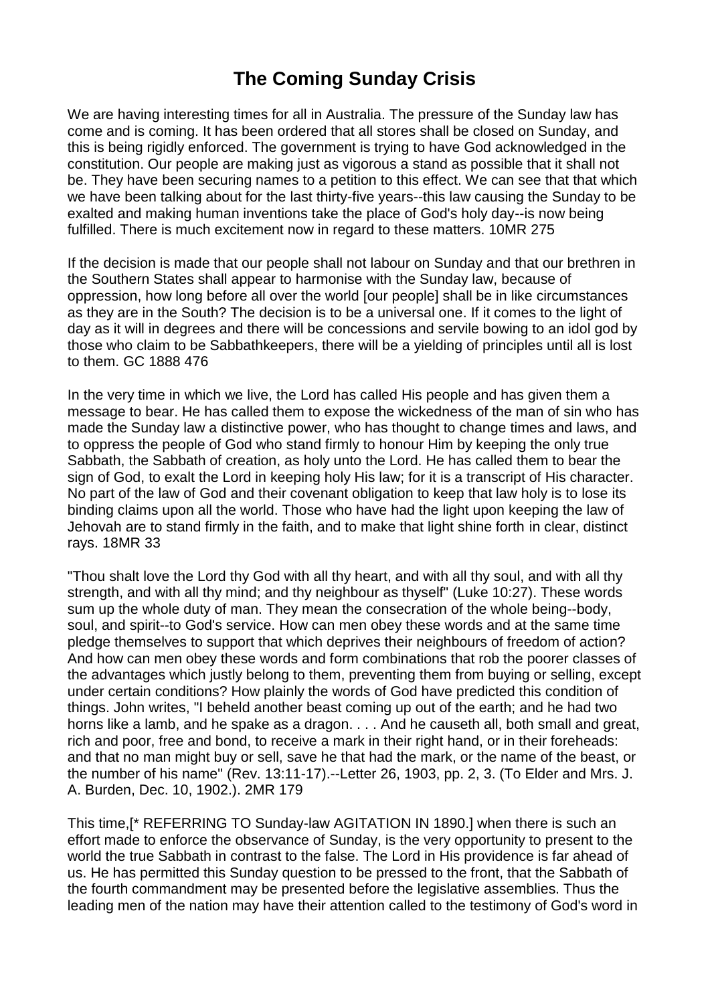## **The Coming Sunday Crisis**

We are having interesting times for all in Australia. The pressure of the Sunday law has come and is coming. It has been ordered that all stores shall be closed on Sunday, and this is being rigidly enforced. The government is trying to have God acknowledged in the constitution. Our people are making just as vigorous a stand as possible that it shall not be. They have been securing names to a petition to this effect. We can see that that which we have been talking about for the last thirty-five years--this law causing the Sunday to be exalted and making human inventions take the place of God's holy day--is now being fulfilled. There is much excitement now in regard to these matters. 10MR 275

If the decision is made that our people shall not labour on Sunday and that our brethren in the Southern States shall appear to harmonise with the Sunday law, because of oppression, how long before all over the world [our people] shall be in like circumstances as they are in the South? The decision is to be a universal one. If it comes to the light of day as it will in degrees and there will be concessions and servile bowing to an idol god by those who claim to be Sabbathkeepers, there will be a yielding of principles until all is lost to them. GC 1888 476

In the very time in which we live, the Lord has called His people and has given them a message to bear. He has called them to expose the wickedness of the man of sin who has made the Sunday law a distinctive power, who has thought to change times and laws, and to oppress the people of God who stand firmly to honour Him by keeping the only true Sabbath, the Sabbath of creation, as holy unto the Lord. He has called them to bear the sign of God, to exalt the Lord in keeping holy His law; for it is a transcript of His character. No part of the law of God and their covenant obligation to keep that law holy is to lose its binding claims upon all the world. Those who have had the light upon keeping the law of Jehovah are to stand firmly in the faith, and to make that light shine forth in clear, distinct rays. 18MR 33

"Thou shalt love the Lord thy God with all thy heart, and with all thy soul, and with all thy strength, and with all thy mind; and thy neighbour as thyself" (Luke 10:27). These words sum up the whole duty of man. They mean the consecration of the whole being--body, soul, and spirit--to God's service. How can men obey these words and at the same time pledge themselves to support that which deprives their neighbours of freedom of action? And how can men obey these words and form combinations that rob the poorer classes of the advantages which justly belong to them, preventing them from buying or selling, except under certain conditions? How plainly the words of God have predicted this condition of things. John writes, "I beheld another beast coming up out of the earth; and he had two horns like a lamb, and he spake as a dragon. . . . And he causeth all, both small and great, rich and poor, free and bond, to receive a mark in their right hand, or in their foreheads: and that no man might buy or sell, save he that had the mark, or the name of the beast, or the number of his name" (Rev. 13:11-17).--Letter 26, 1903, pp. 2, 3. (To Elder and Mrs. J. A. Burden, Dec. 10, 1902.). 2MR 179

This time,[\* REFERRING TO Sunday-law AGITATION IN 1890.] when there is such an effort made to enforce the observance of Sunday, is the very opportunity to present to the world the true Sabbath in contrast to the false. The Lord in His providence is far ahead of us. He has permitted this Sunday question to be pressed to the front, that the Sabbath of the fourth commandment may be presented before the legislative assemblies. Thus the leading men of the nation may have their attention called to the testimony of God's word in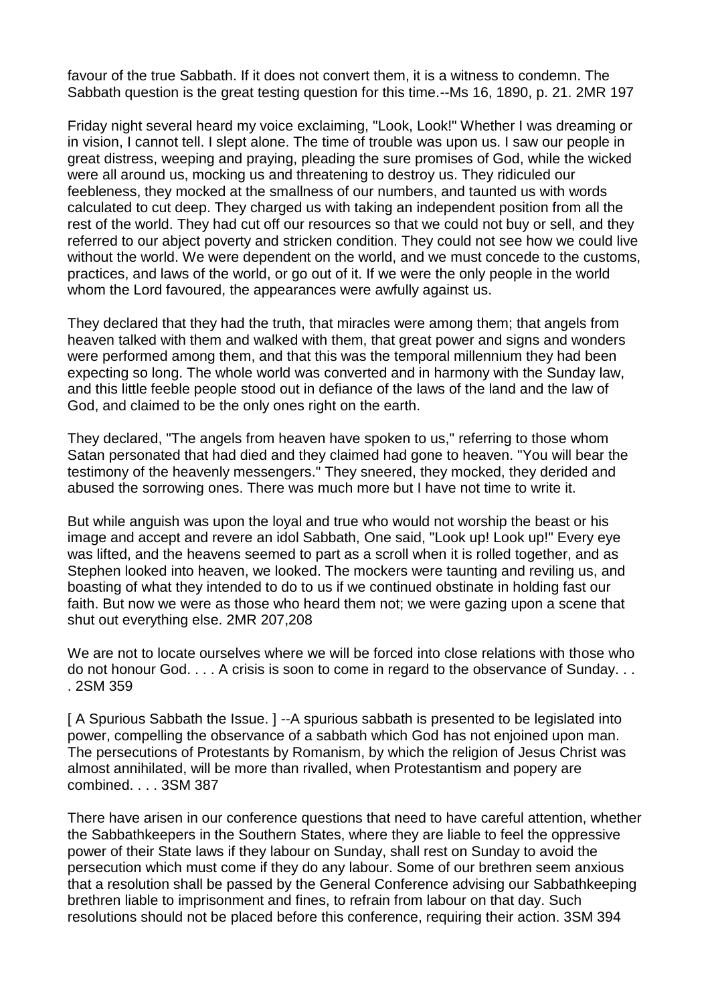favour of the true Sabbath. If it does not convert them, it is a witness to condemn. The Sabbath question is the great testing question for this time.--Ms 16, 1890, p. 21. 2MR 197

Friday night several heard my voice exclaiming, "Look, Look!" Whether I was dreaming or in vision, I cannot tell. I slept alone. The time of trouble was upon us. I saw our people in great distress, weeping and praying, pleading the sure promises of God, while the wicked were all around us, mocking us and threatening to destroy us. They ridiculed our feebleness, they mocked at the smallness of our numbers, and taunted us with words calculated to cut deep. They charged us with taking an independent position from all the rest of the world. They had cut off our resources so that we could not buy or sell, and they referred to our abject poverty and stricken condition. They could not see how we could live without the world. We were dependent on the world, and we must concede to the customs, practices, and laws of the world, or go out of it. If we were the only people in the world whom the Lord favoured, the appearances were awfully against us.

They declared that they had the truth, that miracles were among them; that angels from heaven talked with them and walked with them, that great power and signs and wonders were performed among them, and that this was the temporal millennium they had been expecting so long. The whole world was converted and in harmony with the Sunday law, and this little feeble people stood out in defiance of the laws of the land and the law of God, and claimed to be the only ones right on the earth.

They declared, "The angels from heaven have spoken to us," referring to those whom Satan personated that had died and they claimed had gone to heaven. "You will bear the testimony of the heavenly messengers." They sneered, they mocked, they derided and abused the sorrowing ones. There was much more but I have not time to write it.

But while anguish was upon the loyal and true who would not worship the beast or his image and accept and revere an idol Sabbath, One said, "Look up! Look up!" Every eye was lifted, and the heavens seemed to part as a scroll when it is rolled together, and as Stephen looked into heaven, we looked. The mockers were taunting and reviling us, and boasting of what they intended to do to us if we continued obstinate in holding fast our faith. But now we were as those who heard them not; we were gazing upon a scene that shut out everything else. 2MR 207,208

We are not to locate ourselves where we will be forced into close relations with those who do not honour God. . . . A crisis is soon to come in regard to the observance of Sunday. . . . 2SM 359

[ A Spurious Sabbath the Issue. ] --A spurious sabbath is presented to be legislated into power, compelling the observance of a sabbath which God has not enjoined upon man. The persecutions of Protestants by Romanism, by which the religion of Jesus Christ was almost annihilated, will be more than rivalled, when Protestantism and popery are combined. . . . 3SM 387

There have arisen in our conference questions that need to have careful attention, whether the Sabbathkeepers in the Southern States, where they are liable to feel the oppressive power of their State laws if they labour on Sunday, shall rest on Sunday to avoid the persecution which must come if they do any labour. Some of our brethren seem anxious that a resolution shall be passed by the General Conference advising our Sabbathkeeping brethren liable to imprisonment and fines, to refrain from labour on that day. Such resolutions should not be placed before this conference, requiring their action. 3SM 394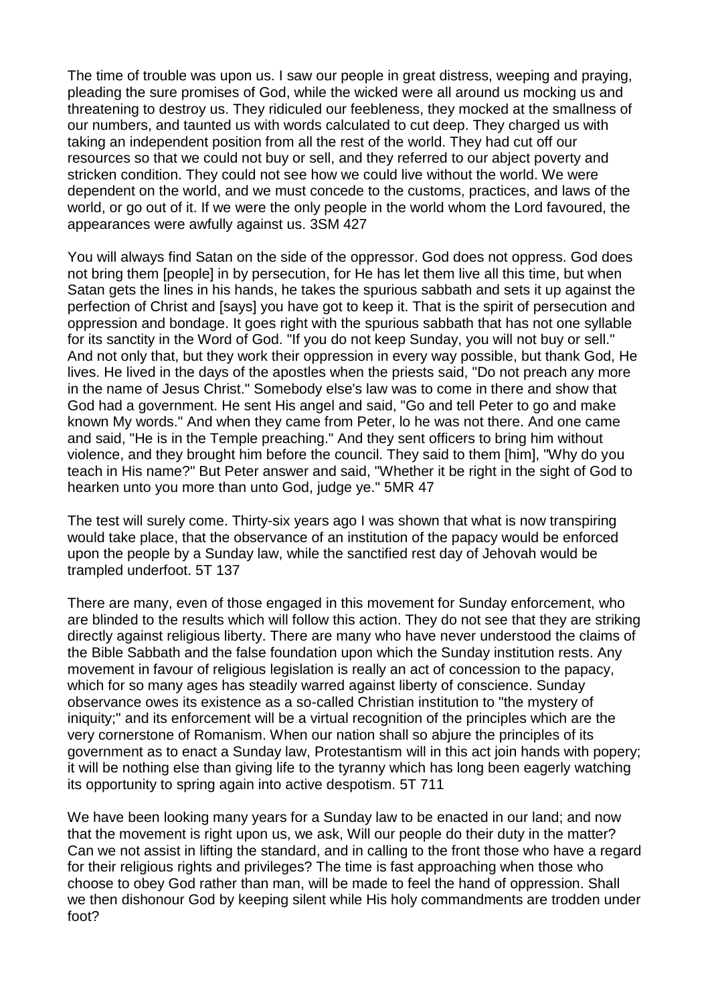The time of trouble was upon us. I saw our people in great distress, weeping and praying, pleading the sure promises of God, while the wicked were all around us mocking us and threatening to destroy us. They ridiculed our feebleness, they mocked at the smallness of our numbers, and taunted us with words calculated to cut deep. They charged us with taking an independent position from all the rest of the world. They had cut off our resources so that we could not buy or sell, and they referred to our abject poverty and stricken condition. They could not see how we could live without the world. We were dependent on the world, and we must concede to the customs, practices, and laws of the world, or go out of it. If we were the only people in the world whom the Lord favoured, the appearances were awfully against us. 3SM 427

You will always find Satan on the side of the oppressor. God does not oppress. God does not bring them [people] in by persecution, for He has let them live all this time, but when Satan gets the lines in his hands, he takes the spurious sabbath and sets it up against the perfection of Christ and [says] you have got to keep it. That is the spirit of persecution and oppression and bondage. It goes right with the spurious sabbath that has not one syllable for its sanctity in the Word of God. "If you do not keep Sunday, you will not buy or sell." And not only that, but they work their oppression in every way possible, but thank God, He lives. He lived in the days of the apostles when the priests said, "Do not preach any more in the name of Jesus Christ." Somebody else's law was to come in there and show that God had a government. He sent His angel and said, "Go and tell Peter to go and make known My words." And when they came from Peter, lo he was not there. And one came and said, "He is in the Temple preaching." And they sent officers to bring him without violence, and they brought him before the council. They said to them [him], "Why do you teach in His name?" But Peter answer and said, "Whether it be right in the sight of God to hearken unto you more than unto God, judge ye." 5MR 47

The test will surely come. Thirty-six years ago I was shown that what is now transpiring would take place, that the observance of an institution of the papacy would be enforced upon the people by a Sunday law, while the sanctified rest day of Jehovah would be trampled underfoot. 5T 137

There are many, even of those engaged in this movement for Sunday enforcement, who are blinded to the results which will follow this action. They do not see that they are striking directly against religious liberty. There are many who have never understood the claims of the Bible Sabbath and the false foundation upon which the Sunday institution rests. Any movement in favour of religious legislation is really an act of concession to the papacy, which for so many ages has steadily warred against liberty of conscience. Sunday observance owes its existence as a so-called Christian institution to "the mystery of iniquity;" and its enforcement will be a virtual recognition of the principles which are the very cornerstone of Romanism. When our nation shall so abjure the principles of its government as to enact a Sunday law, Protestantism will in this act join hands with popery; it will be nothing else than giving life to the tyranny which has long been eagerly watching its opportunity to spring again into active despotism. 5T 711

We have been looking many years for a Sunday law to be enacted in our land; and now that the movement is right upon us, we ask, Will our people do their duty in the matter? Can we not assist in lifting the standard, and in calling to the front those who have a regard for their religious rights and privileges? The time is fast approaching when those who choose to obey God rather than man, will be made to feel the hand of oppression. Shall we then dishonour God by keeping silent while His holy commandments are trodden under foot?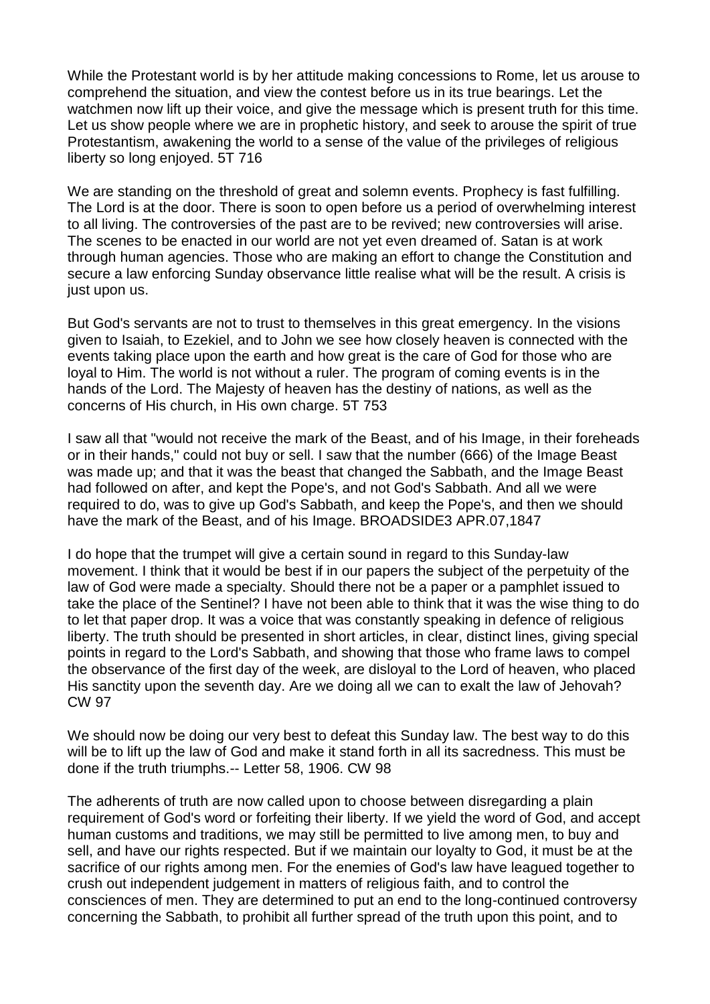While the Protestant world is by her attitude making concessions to Rome, let us arouse to comprehend the situation, and view the contest before us in its true bearings. Let the watchmen now lift up their voice, and give the message which is present truth for this time. Let us show people where we are in prophetic history, and seek to arouse the spirit of true Protestantism, awakening the world to a sense of the value of the privileges of religious liberty so long enjoyed. 5T 716

We are standing on the threshold of great and solemn events. Prophecy is fast fulfilling. The Lord is at the door. There is soon to open before us a period of overwhelming interest to all living. The controversies of the past are to be revived; new controversies will arise. The scenes to be enacted in our world are not yet even dreamed of. Satan is at work through human agencies. Those who are making an effort to change the Constitution and secure a law enforcing Sunday observance little realise what will be the result. A crisis is just upon us.

But God's servants are not to trust to themselves in this great emergency. In the visions given to Isaiah, to Ezekiel, and to John we see how closely heaven is connected with the events taking place upon the earth and how great is the care of God for those who are loyal to Him. The world is not without a ruler. The program of coming events is in the hands of the Lord. The Majesty of heaven has the destiny of nations, as well as the concerns of His church, in His own charge. 5T 753

I saw all that "would not receive the mark of the Beast, and of his Image, in their foreheads or in their hands," could not buy or sell. I saw that the number (666) of the Image Beast was made up; and that it was the beast that changed the Sabbath, and the Image Beast had followed on after, and kept the Pope's, and not God's Sabbath. And all we were required to do, was to give up God's Sabbath, and keep the Pope's, and then we should have the mark of the Beast, and of his Image. BROADSIDE3 APR.07,1847

I do hope that the trumpet will give a certain sound in regard to this Sunday-law movement. I think that it would be best if in our papers the subject of the perpetuity of the law of God were made a specialty. Should there not be a paper or a pamphlet issued to take the place of the Sentinel? I have not been able to think that it was the wise thing to do to let that paper drop. It was a voice that was constantly speaking in defence of religious liberty. The truth should be presented in short articles, in clear, distinct lines, giving special points in regard to the Lord's Sabbath, and showing that those who frame laws to compel the observance of the first day of the week, are disloyal to the Lord of heaven, who placed His sanctity upon the seventh day. Are we doing all we can to exalt the law of Jehovah? CW 97

We should now be doing our very best to defeat this Sunday law. The best way to do this will be to lift up the law of God and make it stand forth in all its sacredness. This must be done if the truth triumphs.-- Letter 58, 1906. CW 98

The adherents of truth are now called upon to choose between disregarding a plain requirement of God's word or forfeiting their liberty. If we yield the word of God, and accept human customs and traditions, we may still be permitted to live among men, to buy and sell, and have our rights respected. But if we maintain our loyalty to God, it must be at the sacrifice of our rights among men. For the enemies of God's law have leagued together to crush out independent judgement in matters of religious faith, and to control the consciences of men. They are determined to put an end to the long-continued controversy concerning the Sabbath, to prohibit all further spread of the truth upon this point, and to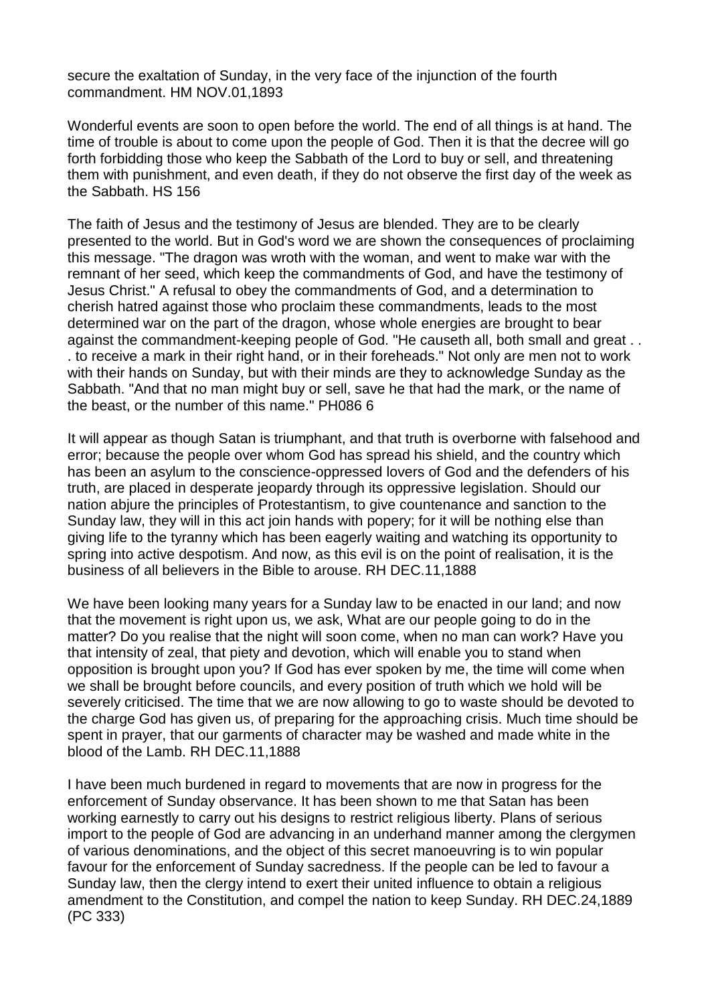secure the exaltation of Sunday, in the very face of the injunction of the fourth commandment. HM NOV.01,1893

Wonderful events are soon to open before the world. The end of all things is at hand. The time of trouble is about to come upon the people of God. Then it is that the decree will go forth forbidding those who keep the Sabbath of the Lord to buy or sell, and threatening them with punishment, and even death, if they do not observe the first day of the week as the Sabbath. HS 156

The faith of Jesus and the testimony of Jesus are blended. They are to be clearly presented to the world. But in God's word we are shown the consequences of proclaiming this message. "The dragon was wroth with the woman, and went to make war with the remnant of her seed, which keep the commandments of God, and have the testimony of Jesus Christ." A refusal to obey the commandments of God, and a determination to cherish hatred against those who proclaim these commandments, leads to the most determined war on the part of the dragon, whose whole energies are brought to bear against the commandment-keeping people of God. "He causeth all, both small and great . . . to receive a mark in their right hand, or in their foreheads." Not only are men not to work with their hands on Sunday, but with their minds are they to acknowledge Sunday as the Sabbath. "And that no man might buy or sell, save he that had the mark, or the name of the beast, or the number of this name." PH086 6

It will appear as though Satan is triumphant, and that truth is overborne with falsehood and error; because the people over whom God has spread his shield, and the country which has been an asylum to the conscience-oppressed lovers of God and the defenders of his truth, are placed in desperate jeopardy through its oppressive legislation. Should our nation abjure the principles of Protestantism, to give countenance and sanction to the Sunday law, they will in this act join hands with popery; for it will be nothing else than giving life to the tyranny which has been eagerly waiting and watching its opportunity to spring into active despotism. And now, as this evil is on the point of realisation, it is the business of all believers in the Bible to arouse. RH DEC.11,1888

We have been looking many years for a Sunday law to be enacted in our land; and now that the movement is right upon us, we ask, What are our people going to do in the matter? Do you realise that the night will soon come, when no man can work? Have you that intensity of zeal, that piety and devotion, which will enable you to stand when opposition is brought upon you? If God has ever spoken by me, the time will come when we shall be brought before councils, and every position of truth which we hold will be severely criticised. The time that we are now allowing to go to waste should be devoted to the charge God has given us, of preparing for the approaching crisis. Much time should be spent in prayer, that our garments of character may be washed and made white in the blood of the Lamb. RH DEC.11,1888

I have been much burdened in regard to movements that are now in progress for the enforcement of Sunday observance. It has been shown to me that Satan has been working earnestly to carry out his designs to restrict religious liberty. Plans of serious import to the people of God are advancing in an underhand manner among the clergymen of various denominations, and the object of this secret manoeuvring is to win popular favour for the enforcement of Sunday sacredness. If the people can be led to favour a Sunday law, then the clergy intend to exert their united influence to obtain a religious amendment to the Constitution, and compel the nation to keep Sunday. RH DEC.24,1889 (PC 333)